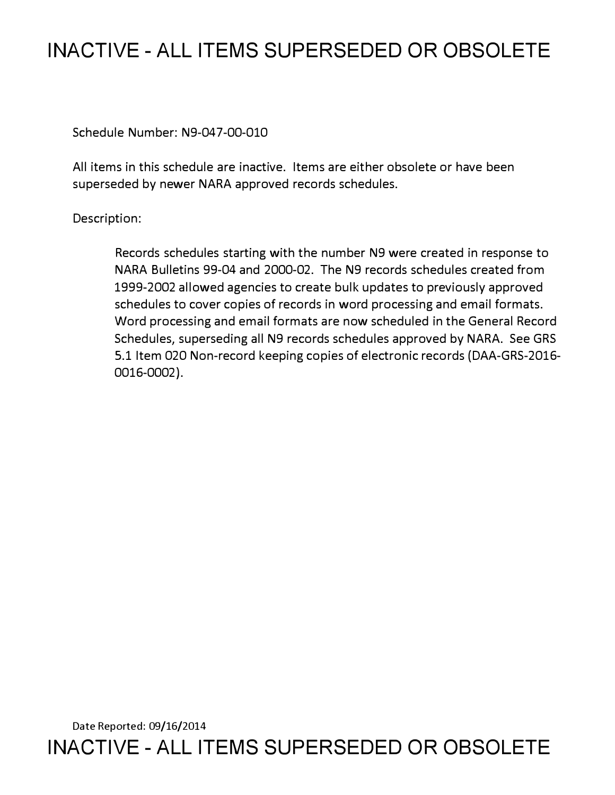## **INACTIVE - ALL ITEMS SUPERSEDED OR OBSOLETE**

Schedule Number: N9-047-00-010

All items in this schedule are inactive. Items are either obsolete or have been superseded by newer NARA approved records schedules.

Description:

Records schedules starting with the number N9 were created in response to NARA Bulletins 99-04 and 2000-02. The N9 records schedules created from 1999-2002 allowed agencies to create bulk updates to previously approved schedules to cover copies of records in word processing and email formats. Word processing and email formats are now scheduled in the General Record Schedules, superseding all N9 records schedules approved by NARA. See GRS 5.1 Item 020 Non-record keeping copies of electronic records (DAA-GRS-2016- 0016-0002).

Date Reported: 09/16/2014 **INACTIVE - ALL ITEMS SUPERSEDED OR OBSOLETE**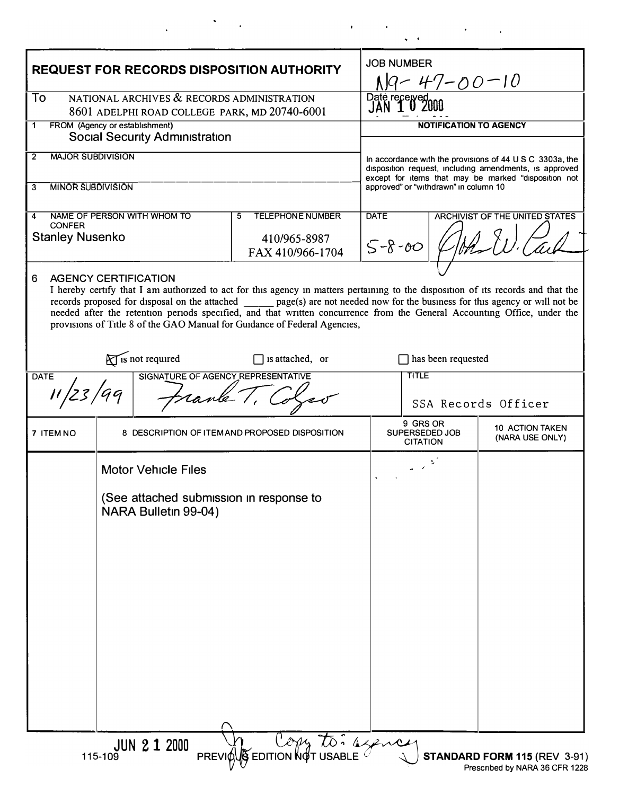| To<br>NATIONAL ARCHIVES & RECORDS ADMINISTRATION<br>Date received<br>JAN 102<br>8601 ADELPHI ROAD COLLEGE PARK, MD 20740-6001<br>FROM (Agency or establishment)<br><b>NOTIFICATION TO AGENCY</b><br>1<br><b>Social Security Administration</b><br><b>MAJOR SUBDIVISION</b><br>2<br>In accordance with the provisions of 44 U S C 3303a, the<br>disposition request, including amendments, is approved<br>except for items that may be marked "disposition not<br><b>MINOR SUBDIVISION</b><br>approved" or "withdrawn" in column 10<br>3<br><b>DATE</b><br>NAME OF PERSON WITH WHOM TO<br><b>TELEPHONE NUMBER</b><br>ARCHIVIST OF THE UNITED STATES<br>5<br>4<br><b>CONFER</b><br><b>Stanley Nusenko</b><br>410/965-8987<br>$5 - 8 - 00$<br>FAX 410/966-1704<br><b>AGENCY CERTIFICATION</b><br>6<br>I hereby certify that I am authorized to act for this agency in matters pertaining to the disposition of its records and that the<br>records proposed for disposal on the attached _________ page(s) are not needed now for the business for this agency or will not be<br>needed after the retention periods specified, and that written concurrence from the General Accounting Office, under the<br>provisions of Title 8 of the GAO Manual for Guidance of Federal Agencies,<br>is not required<br>has been requested<br>$\Box$ is attached, or<br><b>TITLE</b><br>SIGNATURE OF AGENCY REPRESENTATIVE<br><b>DATE</b><br>SSA Records Officer<br>9 GRS OR<br><b>10 ACTION TAKEN</b><br>SUPERSEDED JOB<br>7 ITEM NO<br>8 DESCRIPTION OF ITEMAND PROPOSED DISPOSITION<br>(NARA USE ONLY)<br><b>CITATION</b><br><b>Motor Vehicle Files</b><br>(See attached submission in response to<br>NARA Bulletin 99-04) | <b>REQUEST FOR RECORDS DISPOSITION AUTHORITY</b>   |  | <b>JOB NUMBER</b><br>N9-47-00-10 |  |  |  |
|-----------------------------------------------------------------------------------------------------------------------------------------------------------------------------------------------------------------------------------------------------------------------------------------------------------------------------------------------------------------------------------------------------------------------------------------------------------------------------------------------------------------------------------------------------------------------------------------------------------------------------------------------------------------------------------------------------------------------------------------------------------------------------------------------------------------------------------------------------------------------------------------------------------------------------------------------------------------------------------------------------------------------------------------------------------------------------------------------------------------------------------------------------------------------------------------------------------------------------------------------------------------------------------------------------------------------------------------------------------------------------------------------------------------------------------------------------------------------------------------------------------------------------------------------------------------------------------------------------------------------------------------------------------------------------------------------------------------|----------------------------------------------------|--|----------------------------------|--|--|--|
|                                                                                                                                                                                                                                                                                                                                                                                                                                                                                                                                                                                                                                                                                                                                                                                                                                                                                                                                                                                                                                                                                                                                                                                                                                                                                                                                                                                                                                                                                                                                                                                                                                                                                                                 |                                                    |  |                                  |  |  |  |
|                                                                                                                                                                                                                                                                                                                                                                                                                                                                                                                                                                                                                                                                                                                                                                                                                                                                                                                                                                                                                                                                                                                                                                                                                                                                                                                                                                                                                                                                                                                                                                                                                                                                                                                 |                                                    |  |                                  |  |  |  |
|                                                                                                                                                                                                                                                                                                                                                                                                                                                                                                                                                                                                                                                                                                                                                                                                                                                                                                                                                                                                                                                                                                                                                                                                                                                                                                                                                                                                                                                                                                                                                                                                                                                                                                                 |                                                    |  |                                  |  |  |  |
|                                                                                                                                                                                                                                                                                                                                                                                                                                                                                                                                                                                                                                                                                                                                                                                                                                                                                                                                                                                                                                                                                                                                                                                                                                                                                                                                                                                                                                                                                                                                                                                                                                                                                                                 |                                                    |  |                                  |  |  |  |
|                                                                                                                                                                                                                                                                                                                                                                                                                                                                                                                                                                                                                                                                                                                                                                                                                                                                                                                                                                                                                                                                                                                                                                                                                                                                                                                                                                                                                                                                                                                                                                                                                                                                                                                 |                                                    |  |                                  |  |  |  |
|                                                                                                                                                                                                                                                                                                                                                                                                                                                                                                                                                                                                                                                                                                                                                                                                                                                                                                                                                                                                                                                                                                                                                                                                                                                                                                                                                                                                                                                                                                                                                                                                                                                                                                                 |                                                    |  |                                  |  |  |  |
|                                                                                                                                                                                                                                                                                                                                                                                                                                                                                                                                                                                                                                                                                                                                                                                                                                                                                                                                                                                                                                                                                                                                                                                                                                                                                                                                                                                                                                                                                                                                                                                                                                                                                                                 |                                                    |  |                                  |  |  |  |
|                                                                                                                                                                                                                                                                                                                                                                                                                                                                                                                                                                                                                                                                                                                                                                                                                                                                                                                                                                                                                                                                                                                                                                                                                                                                                                                                                                                                                                                                                                                                                                                                                                                                                                                 |                                                    |  |                                  |  |  |  |
|                                                                                                                                                                                                                                                                                                                                                                                                                                                                                                                                                                                                                                                                                                                                                                                                                                                                                                                                                                                                                                                                                                                                                                                                                                                                                                                                                                                                                                                                                                                                                                                                                                                                                                                 |                                                    |  |                                  |  |  |  |
|                                                                                                                                                                                                                                                                                                                                                                                                                                                                                                                                                                                                                                                                                                                                                                                                                                                                                                                                                                                                                                                                                                                                                                                                                                                                                                                                                                                                                                                                                                                                                                                                                                                                                                                 | PREVIOUS EDITION NOT USABLE<br><b>JUN 2 1 2000</b> |  |                                  |  |  |  |

 $\mathbf{r} = \mathbf{r} \times \mathbf{r}$ 

 $\mathcal{L}(\mathcal{L})$  ,  $\mathcal{L}(\mathcal{L})$  ,  $\mathcal{L}(\mathcal{L})$ 

 $\tilde{\mathbf{r}}$ 

 $\mathcal{L}^{\text{max}}_{\text{max}}$ 

 $\mathcal{A}$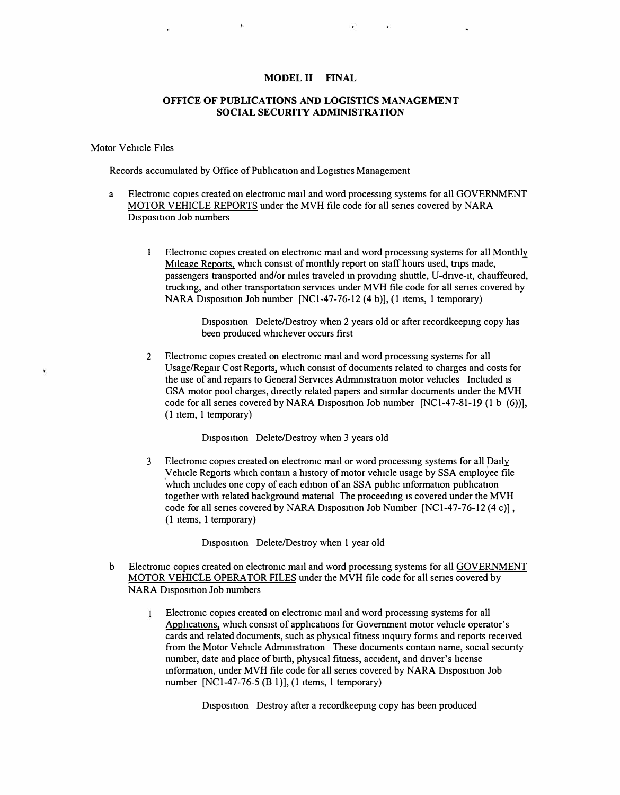## **MODEL II FINAL**

## **OFFICE OF PUBLICATIONS AND LOGISTICS MANAGEMENT SOCIAL SECURITY ADMINISTRATION**

## Motor Vehicle Files

Records accumulated by Office of Publication and Logistics Management

- a Electromc copies created on electromc mail and word processmg systems for all GOVERNMENT MOTOR VEHICLE REPORTS under the MVH file code for all senes covered by **NARA**  D<sub>1</sub>spos<sub>1t1</sub>on Job numbers
	- 1 Electromc copies created on electromc mail and word processmg systems for all Monthly Mileage Reports, which consist of monthly report on staff hours used, trips made, passengers transported and/or miles traveled in providing shuttle, U-drive-it, chauffeured, truckmg, and other transportation services under MVH file code for all senes covered by NARA Disposition Job number [NCl-47-76-12 (4 b)], (1 items, 1 temporary)

Disposition Delete/Destroy when 2 years old or after recordkeeping copy has been produced whichever occurs first

2 Electromc copies created on electromc mail and word processmg systems for all Usage/Repair Cost Reports, which consist of documents related to charges and costs for the use of and repairs to General Services Administration motor vehicles Included is GSA motor pool charges, directly related papers and srrmlar documents under the MVH code for all series covered by NARA Disposition Job number  $[NC1-47-81-19 (1 b (6))]$ , (1 item, 1 temporary)

Disposition Delete/Destroy when 3 years old

3 Electromc copies created on electromc mail or word processmg systems for all Daily Vehicle Reports which contam a history of motor vehicle usage by SSA employee file which includes one copy of each edition of an SSA public information publication together with related background matenal The proceedmg 1s covered under the MVH code for all senes covered by NARA Disposition Job Number  $[NC1-47-76-12 (4 c)]$ , (1 items, 1 temporary)

Disposition Delete/Destroy when 1 year old

- b Electromc copies created on electromc mail and word processmg systems for all GOVERNMENT MOTOR VEHICLE OPERATOR FILES under the MVH file code for all senes covered by NARA Disposition Job numbers
	- Electromc copies created on electromc mail and word processmg systems for all  $\mathbf{1}$ Applications, which consist of applications for Government motor vehicle operator's cards and related documents, such as physical fitness inquiry forms and reports received from the Motor Vehicle Administration These documents contain name, social security number, date and place of birth, physical fitness, accident, and driver's license mformation, under MVH file code for all series covered by NARA Disposition Job number [NCl-47-76-5 (BI)], (1 items, 1 temporary)

Disposition Destroy after a recordkeeping copy has been produced